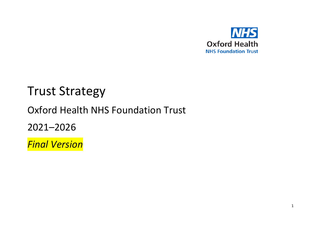

# Trust Strategy

# Oxford Health NHS Foundation Trust

2021–2026

*Final Version*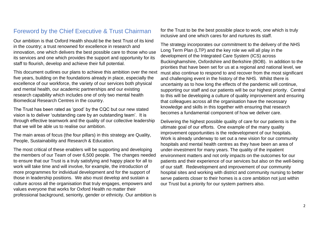### Foreword by the Chief Executive & Trust Chairman

Our ambition is that Oxford Health should be the best Trust of its kind in the country; a trust renowned for excellence in research and innovation, one which delivers the best possible care to those who use its services and one which provides the support and opportunity for its staff to flourish, develop and achieve their full potential.

This document outlines our plans to achieve this ambition over the next five years, building on the foundations already in place, especially the excellence of our workforce, the variety of our services both physical and mental health, our academic partnerships and our existing research capability which includes one of only two mental health Biomedical Research Centres in the country.

The Trust has been rated as 'good' by the CQC but our new stated vision is to deliver 'outstanding care by an outstanding team'. It is through effective teamwork and the quality of our collective leadership that we will be able us to realise our ambition.

The main areas of focus (the four pillars) in this strategy are Quality, People, Sustainability and Research & Education.

The most critical of these enablers will be supporting and developing the members of our Team of over 6,500 people. The changes needed to ensure that our Trust is a truly satisfying and happy place for all to work will take time and will involve, for example, the introduction of more programmes for individual development and for the support of those in leadership positions. We also must develop and sustain a culture across all the organisation that truly engages, empowers and values everyone that works for Oxford Health no matter their professional background, seniority, gender or ethnicity. Our ambition is

for the Trust to be the best possible place to work, one which is truly inclusive and one which cares for and nurtures its staff.

The strategy incorporates our commitment to the delivery of the NHS Long Term Plan (LTP) and the key role we will all play in the development of the Integrated Care System (ICS) across Buckinghamshire, Oxfordshire and Berkshire (BOB). In addition to the priorities that have been set for us at a regional and national level, we must also continue to respond to and recover from the most significant and challenging event in the history of the NHS. Whilst there is uncertainty as to how long the effects of the pandemic will continue, supporting our staff and our patients will be our highest priority. Central to this will be developing a culture of quality improvement and ensuring that colleagues across all the organisation have the necessary knowledge and skills in this together with ensuring that research becomes a fundamental component of how we deliver care.

Delivering the highest possible quality of care for our patients is the ultimate goal of our efforts. One example of the many quality improvement opportunities is the redevelopment of our hospitals. Work is already underway to set out a new vision for our community hospitals and mental health centres as they have been an area of under-investment for many years. The quality of the inpatient environment matters and not only impacts on the outcomes for our patients and their experience of our services but also on the well-being of our staff. Redevelopment and improvement of our community hospital sites and working with district and community nursing to better serve patients closer to their homes is a core ambition not just within our Trust but a priority for our system partners also.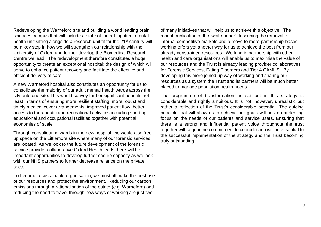Redeveloping the Warneford site and building a world leading brain sciences campus that will include a state of the art inpatient mental health unit sitting alongside a research unit fit for the 21<sup>st</sup> century will be a key step in how we will strengthen our relationship with the University of Oxford and further develop the Biomedical Research Centre we lead. The redevelopment therefore constitutes a huge opportunity to create an exceptional hospital; the design of which will serve to enhance patient recovery and facilitate the effective and efficient delivery of care.

A new Warneford hospital also constitutes an opportunity for us to consolidate the majority of our adult mental health wards across the city onto one site. This would convey further significant benefits not least in terms of ensuring more resilient staffing, more robust and timely medical cover arrangements, improved patient flow, better access to therapeutic and recreational activities including sporting, educational and occupational facilities together with potential economies of scale.

Through consolidating wards in the new hospital, we would also free up space on the Littlemore site where many of our forensic services are located. As we look to the future development of the forensic service provider collaborative Oxford Health leads there will be important opportunities to develop further secure capacity as we look with our NHS partners to further decrease reliance on the private sector.

To become a sustainable organisation, we must all make the best use of our resources and protect the environment. Reducing our carbon emissions through a rationalisation of the estate (e.g. Warneford) and reducing the need to travel through new ways of working are just two

of many initiatives that will help us to achieve this objective. The recent publication of the 'white paper' describing the removal of internal competitive markets and a move to more partnership-based working offers yet another way for us to achieve the best from our already constrained resources. Working in partnership with other health and care organisations will enable us to maximise the value of our resources and the Trust is already leading provider collaboratives for Forensic Services, Eating Disorders and Tier 4 CAMHS. By developing this more joined up way of working and sharing our resources as a system the Trust and its partners will be much better placed to manage population health needs

The programme of transformation as set out in this strategy is considerable and rightly ambitious. It is not, however, unrealistic but rather a reflection of the Trust's considerable potential. The guiding principle that will allow us to achieve our goals will be an unrelenting focus on the needs of our patients and service users. Ensuring that there is a strong and influential patient voice throughout the trust together with a genuine commitment to coproduction will be essential to the successful implementation of the strategy and the Trust becoming truly outstanding.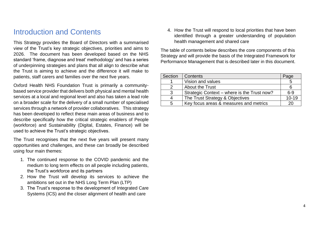## Introduction and Contents

This Strategy provides the Board of Directors with a summarised view of the Trust's key strategic objectives, priorities and aims to 2026. The document has been developed based on the NHS standard 'frame, diagnose and treat' methodology' and has a series of underpinning strategies and plans that all align to describe what the Trust is aiming to achieve and the difference it will make to patients, staff carers and families over the next five years.

Oxford Health NHS Foundation Trust is primarily a communitybased service provider that delivers both physical and mental health services at a local and regional level and also has taken a lead role on a broader scale for the delivery of a small number of specialised services through a network of provider collaboratives. This strategy has been developed to reflect these main areas of business and to describe specifically how the critical strategic enablers of People (workforce) and Sustainability (Digital, Estates, Finance) will be used to achieve the Trust's strategic objectives.

The Trust recognises that the next five years will present many opportunities and challenges, and these can broadly be described using four main themes:

- 1. The continued response to the COVID pandemic and the medium to long term effects on all people including patients, the Trust's workforce and its partners
- 2. How the Trust will develop its services to achieve the ambitions set out in the NHS Long Term Plan (LTP)
- 3. The Trust's response to the development of Integrated Care Systems (ICS) and the closer alignment of health and care

4. How the Trust will respond to local priorities that have been identified through a greater understanding of population health management and shared care

The table of contents below describes the core components of this Strategy and will provide the basis of the Integrated Framework for Performance Management that is described later in this document.

| Section | Contents                                    | Page      |
|---------|---------------------------------------------|-----------|
|         | Vision and values                           |           |
|         | <b>About the Trust</b>                      |           |
| 3       | Strategic Context – where is the Trust now? | $6 - 9$   |
|         | The Trust Strategy & Objectives             | $10 - 19$ |
| 5       | Key focus areas & measures and metrics      | 20        |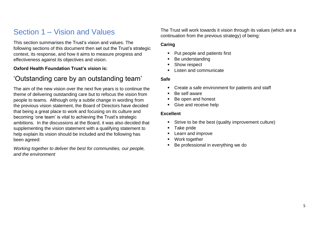# Section 1 – Vision and Values

This section summarises the Trust's vision and values. The following sections of this document then set out the Trust's strategic context, its response, and how it aims to measure progress and effectiveness against its objectives and vision.

#### **Oxford Health Foundation Trust's vision is:**

### 'Outstanding care by an outstanding team'

The aim of the new vision over the next five years is to continue the theme of delivering outstanding care but to refocus the vision from people to teams. Although only a subtle change in wording from the previous vision statement, the Board of Directors have decided that being a great place to work and focusing on its culture and becoming 'one team' is vital to achieving the Trust's strategic ambitions. In the discussions at the Board, it was also decided that supplementing the vision statement with a qualifying statement to help explain its vision should be included and the following has been agreed:

*Working together to deliver the best for communities, our people, and the environment*

The Trust will work towards it vision through its values (which are a continuation from the previous strategy) of being:

#### **Caring**

- Put people and patients first
- Be understanding
- Show respect
- **Listen and communicate**

#### **Safe**

- Create a safe environment for patients and staff
- Be self aware
- Be open and honest
- Give and receive help

#### **Excellent**

- Strive to be the best (quality improvement culture)
- Take pride
- **EXEC** Learn and improve
- Work together
- Be professional in everything we do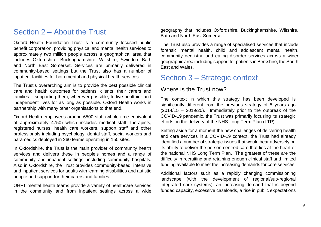### Section 2 – About the Trust

Oxford Health Foundation Trust is a community focused public benefit corporation, providing physical and mental health services to approximately two million people across a geographical area that includes Oxfordshire, Buckinghamshire, Wiltshire, Swindon, Bath and North East Somerset. Services are primarily delivered in community-based settings but the Trust also has a number of inpatient facilities for both mental and physical health services.

The Trust's overarching aim is to provide the best possible clinical care and health outcomes for patients, clients, their carers and families – supporting them, wherever possible, to live healthier and independent lives for as long as possible. Oxford Health works in partnership with many other organisations to that end.

Oxford Health employees around 6500 staff (whole time equivalent of approximately 4750) which includes medical staff, therapists, registered nurses, health care workers, support staff and other professionals including psychology, dental staff, social workers and paramedics deployed in 260 teams operating in 150 sites.

In Oxfordshire, the Trust is the main provider of community health services and delivers these in people's homes and a range of community and inpatient settings, including community hospitals. Also in Oxfordshire, the Trust provides community-based, intensive and inpatient services for adults with learning disabilities and autistic people and support for their carers and families.

OHFT mental health teams provide a variety of healthcare services in the community and from inpatient settings across a wide geography that includes Oxfordshire, Buckinghamshire, Wiltshire, Bath and North East Somerset.

The Trust also provides a range of specialised services that include forensic mental health, child and adolescent mental health, community dentistry, and eating disorder services across a wider geographic area including support for patients in Berkshire, the South East and Wales.

### Section 3 – Strategic context

### Where is the Trust now?

The context in which this strategy has been developed is significantly different from the previous strategy of 5 years ago (2014/15 – 2019/20). Immediately prior to the outbreak of the COVID-19 pandemic, the Trust was primarily focusing its strategic efforts on the delivery of the NHS Long Term Plan (LTP).

Setting aside for a moment the new challenges of delivering health and care services in a COVID-19 context, the Trust had already identified a number of strategic issues that would bear adversely on its ability to deliver the person-centred care that lies at the heart of the national NHS Long Term Plan. The greatest of these are the difficulty in recruiting and retaining enough clinical staff and limited funding available to meet the increasing demands for core services.

Additional factors such as a rapidly changing commissioning landscape (with the development of regional/sub-regional integrated care systems), an increasing demand that is beyond funded capacity, excessive caseloads, a rise in public expectations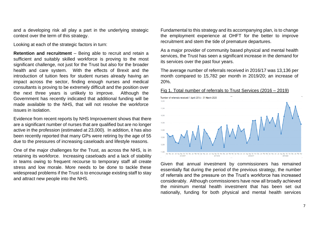and a developing risk all play a part in the underlying strategic context over the term of this strategy.

Looking at each of the strategic factors in turn:

**Retention and recruitment** – Being able to recruit and retain a sufficient and suitably skilled workforce is proving to the most significant challenge, not just for the Trust but also for the broader health and care system. With the effects of Brexit and the introduction of tuition fees for student nurses already having an impact across the sector, finding enough nurses and medical consultants is proving to be extremely difficult and the position over the next three years is unlikely to improve. Although the Government has recently indicated that additional funding will be made available to the NHS, that will not resolve the workforce issues in isolation.

Evidence from recent reports by NHS Improvement shows that there are a significant number of nurses that are qualified but are no longer active in the profession (estimated at 23,000). In addition, it has also been recently reported that many GPs were retiring by the age of 55 due to the pressures of increasing caseloads and lifestyle reasons.

One of the major challenges for the Trust, as across the NHS, is in retaining its workforce. Increasing caseloads and a lack of stability in teams owing to frequent recourse to temporary staff all create stress and low morale. More needs to be done to tackle these widespread problems if the Trust is to encourage existing staff to stay and attract new people into the NHS.

Fundamental to this strategy and its accompanying plan, is to change the employment experience at OHFT for the better to improve recruitment and stem the tide of premature departures.

As a major provider of community based physical and mental health services, the Trust has seen a significant increase in the demand for its services over the past four years.

The average number of referrals received in 2016/17 was 13,136 per month compared to 15,782 per month in 2019/20; an increase of 20%.



Fig 1. Total number of referrals to Trust Services (2016 – 2019)

Given that annual investment by commissioners has remained essentially flat during the period of the previous strategy, the number of referrals and the pressure on the Trust's workforce has increased considerably. Although commissioners have now all broadly achieved the minimum mental health investment that has been set out nationally, funding for both physical and mental health services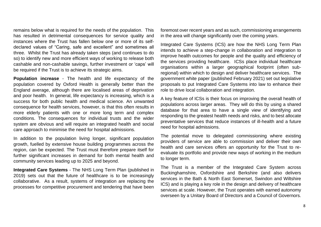remains below what is required for the needs of the population. This has resulted in detrimental consequences for service quality and instances where the Trust has fallen below one or more of its selfdeclared values of "Caring, safe and excellent" and sometimes all three. Whilst the Trust has already taken steps (and continues to do so) to identify new and more efficient ways of working to release both cashable and non-cashable savings, further investment or 'caps' will be required if the Trust is to achieve its strategic aims.

**Population increase** - The health and life expectancy of the population covered by Oxford Health is generally better than the England average, although there are localised areas of deprivation and poor health. In general, life expectancy is increasing, which is a success for both public health and medical science. An unwanted consequence for health services, however, is that this often results in more elderly patients with one or more long term and complex conditions. The consequences for individual trusts and the wider system are obvious and will require an integrated health and social care approach to minimise the need for hospital admissions.

In addition to the population living longer, significant population growth, fuelled by extensive house building programmes across the region, can be expected. The Trust must therefore prepare itself for further significant increases in demand for both mental health and community services leading up to 2025 and beyond.

**Integrated Care Systems** - The NHS Long Term Plan (published in 2019) sets out that the future of healthcare is to be increasingly collaborative. As a result, systems of integration are replacing the processes for competitive procurement and tendering that have been foremost over recent years and as such, commissioning arrangements in the area will change significantly over the coming years.

Integrated Care Systems (ICS) are how the NHS Long Term Plan intends to achieve a step-change in collaboration and integration to improve health outcomes for people and the quality and efficiency of the services providing healthcare. ICSs place individual healthcare organisations within a larger geographical footprint (often subregional) within which to design and deliver healthcare services. The government white paper (published February 2021) set out legislative proposals to put Integrated Care Systems into law to enhance their role to drive local collaboration and integration.

A key feature of ICSs is their focus on improving the overall health of populations across larger areas. They will do this by using a shared database for that area to have a single view of identifying and responding to the greatest health needs and risks, and to best allocate preventative services that reduce instances of ill-health and a future need for hospital admissions.

The potential move to delegated commissioning where existing providers of service are able to commission and deliver their own health and care services offers an opportunity for the Trust to reevaluate its portfolio and provide new ways of working in the medium to longer term.

The Trust is a member of the Integrated Care System across Buckinghamshire, Oxfordshire and Berkshire (and also delivers services in the Bath & North East Somerset, Swindon and Wiltshire ICS) and is playing a key role in the design and delivery of healthcare services at scale. However, the Trust operates with earned autonomy overseen by a Unitary Board of Directors and a Council of Governors.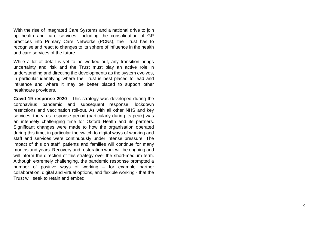With the rise of Integrated Care Systems and a national drive to join up health and care services, including the consolidation of GP practices into Primary Care Networks (PCNs), the Trust has to recognise and react to changes to its sphere of influence in the health and care services of the future.

Whil e a lot of detail is yet to be worked out, any transition brings uncertainty and risk and the Trust must play an active role in understanding and directing the developments as the system evolves, in particular identifying where the Trust is best placed to lead and influence and where it may be better placed to support other healthcare providers.

**Covid -19 response 2020 -** This strategy was developed during the coronavirus pandemic and subsequent response, lockdown restrictions and vaccination roll-out. As with all other NHS and key services, the virus response period (particularly during its peak) was an intensely challenging time for Oxford Health and its partners. Significant changes were made to how the organisation operated during this time, in particular the switch to digital ways of working and staff and services were continuously under intense pressure. The impact of this on staff, patients and families will continue for many months and years. Recovery and restoration work will be ongoing and will inform the direction of this strategy over the short -medium term . Although extremely challenging, the pandemic response prompted a number of positive ways of working – for example partner collaboration, digital and virtual options, and flexible working - that the Trust will seek to retain and embed.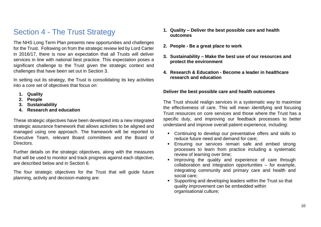## Section 4 - The Trust Strategy

The NHS Long Term Plan presents new opportunities and challenges for the Trust. Following on from the strategic review led by Lord Carter in 2016/17, there is now an expectation that all Trusts will deliver services in line with national best practice. This expectation poses a significant challenge to the Trust given the strategic context and challenges that have been set out in Section 3.

In setting out its strategy, the Trust is consolidating its key activities into a core set of objectives that focus on:

- **1. Quality**
- **2. People**
- **3. Sustainability**
- **4. Research and education**

These strategic objectives have been developed into a new integrated strategic assurance framework that allows activities to be aligned and managed using one approach. The framework will be reported to Executive Team, relevant Board committees and the Board of Directors.

Further details on the strategic objectives, along with the measures that will be used to monitor and track progress against each objective, are described below and in Section 6.

The four strategic objectives for the Trust that will guide future planning, activity and decision-making are:

- **1. Quality – Deliver the best possible care and health outcomes**
- **2. People - Be a great place to work**
- **3. Sustainability – Make the best use of our resources and protect the environment**
- **4. Research & Education - Become a leader in healthcare research and education**

#### **Deliver the best possible care and health outcomes**

The Trust should realign services in a systematic way to maximise the effectiveness of care. This will mean identifying and focusing Trust resources on core services and those where the Trust has a specific duty, and improving our feedback processes to better understand and improve overall patient experience, including:

- Continuing to develop our preventative offers and skills to reduce future need and demand for care;
- **Ensuring our services remain safe and embed strong** processes to learn from practice including a systematic review of learning over time;
- Improving the quality and experience of care through collaboration and integration opportunities – for example, integrating community and primary care and health and social care;
- Supporting and developing leaders within the Trust so that quality improvement can be embedded within organisational culture;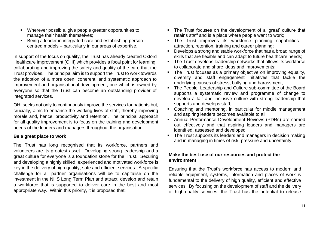- Wherever possible, give people greater opportunities to manage their health themselves;
- Being a leader in integrated care and establishing person centred models – particularly in our areas of expertise.

In support of the focus on quality, the Trust has already created Oxford Healthcare Improvement (OHI) which provides a focal point for learning, collaborating and improving the safety and quality of the care that the Trust provides. The principal aim is to support the Trust to work towards the adoption of a more open, coherent, and systematic approach to improvement and organisational development, one which is owned by everyone so that the Trust can become an outstanding provider of integrated services.

OHI seeks not only to continuously improve the services for patients but, crucially, aims to enhance the working lives of staff, thereby improving morale and, hence, productivity and retention. The principal approach for all quality improvement is to focus on the training and development needs of the leaders and managers throughout the organisation.

#### **Be a great place to work**

The Trust has long recognised that its workforce, partners and volunteers are its greatest asset. Developing strong leadership and a great culture for everyone is a foundation stone for the Trust. Securing and developing a highly skilled, experienced and motivated workforce is key in the delivery of high quality, safe and efficient services. A specific challenge for all partner organisations will be to capitalise on the investment in the NHS Long Term Plan and attract, develop and retain a workforce that is supported to deliver care in the best and most appropriate way. Within this priority, it is proposed that:

- The Trust focuses on the development of a 'great' culture that retains staff and is a place where people want to work;
- The Trust improves its workforce planning capabilities attraction, retention, training and career planning;
- Develops a strong and stable workforce that has a broad range of skills that are flexible and can adapt to future healthcare needs;
- The Trust develops leadership networks that allows its workforce to collaborate and share ideas and improvements;
- The Trust focuses as a primary objective on improving equality, diversity and staff engagement initiatives that tackle the underlying causes of stress, bullying and harassment;
- The People, Leadership and Culture sub-committee of the Board supports a systematic review and programme of change to develop a fair and inclusive culture with strong leadership that supports and develops staff;
- Coaching and mentoring, in particular for middle management and aspiring leaders becomes available to all
- Annual Performance Development Reviews (PDRs) are carried out effectively and that aspiring leaders and managers are identified, assessed and developed
- The Trust supports its leaders and managers in decision making and in managing in times of risk, pressure and uncertainty.

#### **Make the best use of our resources and protect the environment**

Ensuring that the Trust's workforce has access to modern and reliable equipment, systems, information and places of work is fundamental to the delivery of high quality, efficient and effective services. By focusing on the development of staff and the delivery of high-quality services, the Trust has the potential to release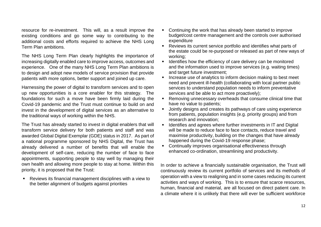resource for re-investment. This will, as a result improve the existing conditions and go some way to contributing to the additional costs and efforts required to achieve the NHS Long Term Plan ambitions.

The NHS Long Term Plan clearly highlights the importance of increasing digitally enabled care to improve access, outcomes and experience. One of the many NHS Long Term Plan ambitions is to design and adopt new models of service provision that provide patients with more options, better support and joined up care.

Harnessing the power of digital to transform services and to open up new opportunities is a core enabler for this strategy. The foundations for such a move have been firmly laid during the Covid-19 pandemic and the Trust must continue to build on and invest in the development of digital services as an alternative to the traditional ways of working within the NHS.

The Trust has already started to invest in digital enablers that will transform service delivery for both patients and staff and was awarded Global Digital Exemplar (GDE) status in 2017. As part of a national programme sponsored by NHS Digital, the Trust has already delivered a number of benefits that will enable the development of self-care, reducing the number of face to face appointments, supporting people to stay well by managing their own health and allowing more people to stay at home. Within this priority, it is proposed that the Trust:

Reviews its financial management disciplines with a view to the better alignment of budgets against priorities

- Continuing the work that has already been started to improve budget/cost centre management and the controls over authorised expenditure
- Reviews its current service portfolio and identifies what parts of the estate could be re-purposed or released as part of new ways of working;
- Identifies how the efficiency of care delivery can be monitored and the information used to improve services (e.g. waiting times) and target future investment:
- Increase use of analytics to inform decision making to best meet need and prevent ill-health (collaborating with local partner public services to understand population needs to inform preventative services and be able to act more proactively);
- Removing unnecessary overheads that consume clinical time that have no value to patients;
- Jointly designs and creates its pathways of care using experience from patients, population insights (e.g. priority groups) and from research and innovation;
- Identifies and agrees where further investments in IT and Digital will be made to reduce face to face contacts, reduce travel and maximise productivity, building on the changes that have already happened during the Covid-19 response phase;
- Continually improves organisational effectiveness through enhanced co-ordination, streamlining and productivity.

In order to achieve a financially sustainable organisation, the Trust will continuously review its current portfolio of services and its methods of operation with a view to realigning and in some cases reducing its current activities and ways of working. This is to ensure that scarce resources, human, financial and material, are all focused on direct patient care. In a climate where it is unlikely that there will ever be sufficient workforce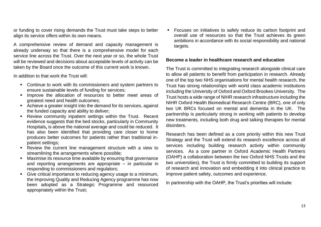or funding to cover rising demands the Trust must take steps to better align its service offers within its own means.

A comprehensive review of demand and capacity management is already underway so that there is a comprehensive model for each service line across the Trust. Over the next year or so, the whole Trust will be reviewed and decisions about acceptable levels of activity can be taken by the Board once the outcome of this current work is known.

In addition to that work the Trust will:

- Continue to work with its commissioners and system partners to ensure sustainable levels of funding for services;
- **.** Improve the allocation of resources to better meet areas of greatest need and health outcomes;
- Achieve a greater insight into the demand for its services, against the funded capacity and ability to deliver;
- Review community inpatient settings within the Trust. Recent evidence suggests that the bed stocks, particularly in Community Hospitals**,** is above the national average and could be reduced. It has also been identified that providing care closer to home produces better outcomes for patients rather than traditional inpatient settings;
- Review the current line management structure with a view to streamlining the arrangements where possible;
- Maximise its resource time available by ensuring that governance and reporting arrangements are appropriate – in particular in responding to commissioners and regulators;
- Give critical importance to reducing agency usage to a minimum, the Improving Quality and Reducing Agency programme has now been adopted as a Strategic Programme and resourced appropriately within the Trust;

■ Focuses on initiatives to safely reduce its carbon footprint and overall use of resources so that the Trust achieves its green ambitions in accordance with its social responsibility and national targets.

#### **Become a leader in healthcare research and education**

The Trust is committed to integrating research alongside clinical care to allow all patients to benefit from participation in research. Already one of the top two NHS organisations for mental health research, the Trust has strong relationships with world class academic institutions including the University of Oxford and Oxford Brookes University. The Trust hosts a wide range of NIHR research infrastructure including the NIHR Oxford Health Biomedical Research Centre (BRC), one of only two UK BRCs focused on mental and dementia in the UK. The partnership is particularly strong in working with patients to develop new treatments, including both drug and talking therapies for mental disorders.

Research has been defined as a core priority within this new Trust Strategy and the Trust will extend its research excellence across all services including building research activity within community services. As a core partner in Oxford Academic Health Partners (OAHP) a collaboration between the two Oxford NHS Trusts and the two universities), the Trust is firmly committed to building its support of research and innovation and embedding it into clinical practice to improve patient safety, outcomes and experience.

In partnership with the OAHP, the Trust's priorities will include: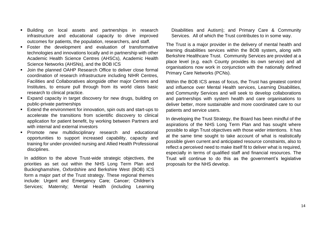- Building on local assets and partnerships in research infrastructure and educational capacity to drive improved outcomes for patients, the population, researchers, and staff.
- Foster the development and evaluation of transformative technologies and innovations locally and in partnership with other Academic Health Science Centres (AHSCs), Academic Health Science Networks (AHSNs), and the BOB ICS
- Join the planned OAHP Research Office to deliver close formal coordination of research infrastructure including NIHR Centres, Facilities and Collaboratives alongside other major Centres and Institutes, to ensure pull through from its world class basic research to clinical practice.
- Expand capacity in target discovery for new drugs, building on public-private partnerships
- Extend the environment for innovation, spin outs and start-ups to accelerate the transitions from scientific discovery to clinical application for patient benefit, by working between Partners and with internal and external investors
- Promote new multidisciplinary research and educational opportunities to support increased capability, capacity and training for under-provided nursing and Allied Health Professional disciplines.

In addition to the above Trust-wide strategic objectives, the priorities as set out within the NHS Long Term Plan and Buckinghamshire, Oxfordshire and Berkshire West (BOB) ICS form a major part of the Trust strategy. These regional themes include: Urgent and Emergency Care; Cancer; Children's Services; Maternity; Mental Health (including Learning

Disabilities and Autism); and Primary Care & Community Services. All of which the Trust contributes to in some way.

The Trust is a major provider in the delivery of mental health and learning disabilities services within the BOB system**,** along with Berkshire Healthcare Trust. Community Services are provided at a place level (e.g. each County provides its own service) and all organisations now work in conjunction with the nationally defined Primary Care Networks (PCNs).

Within the BOB ICS areas of focus, the Trust has greatest control and influence over Mental Health services, Learning Disabilities, and Community Services and will seek to develop collaborations and partnerships with system health and care organisations to deliver better, more sustainable and more coordinated care to our patients and service users.

In developing the Trust Strategy, the Board has been mindful of the aspirations of the NHS Long Term Plan and has sought where possible to align Trust objectives with those wider intentions. It has at the same time sought to take account of what is realistically possible given current and anticipated resource constraints, also to reflect a perceived need to make itself fit to deliver what is required, especially in terms of qualified staff and financial resources. The Trust will continue to do this as the government's legislative proposals for the NHS develop.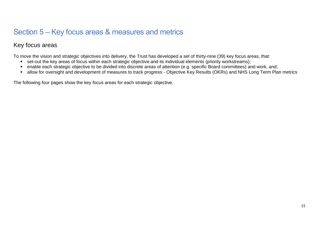# Section 5 – Key focus areas & measures and metrics

### Key focus areas

To move the vision and strategic objectives into delivery, the Trust has developed a set of thirty-nine (39) key focus areas, that:

- set-out the key areas of focus within each strategic objective and its individual elements (priority workstreams);
- enable each strategic objective to be divided into discrete areas of attention (e.g. specific Board committees) and work, and;
- allow for oversight and development of measures to track progress Objective Key Results (OKRs) and NHS Long Term Plan metrics

The following four pages show the key focus areas for each strategic objective.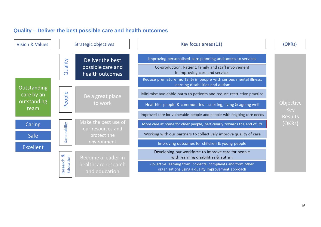

### **Quality – Deliver the best possible care and health outcomes**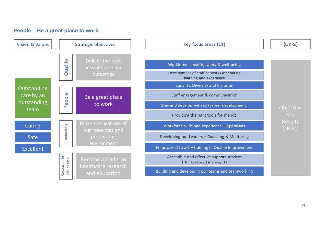### **People – Be a great place to work**

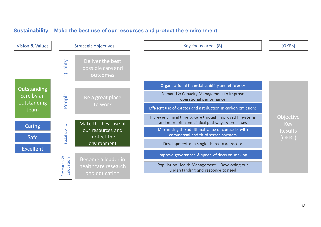### **Sustainability – Make the best use of our resources and protect the environment**

| <b>Vision &amp; Values</b>        | <b>Strategic objectives</b> |                                                   | Key focus areas (8)                                                                                            | (OKRs)                   |
|-----------------------------------|-----------------------------|---------------------------------------------------|----------------------------------------------------------------------------------------------------------------|--------------------------|
|                                   | Villen<br>đ                 | Deliver the best<br>possible care and<br>outcomes |                                                                                                                |                          |
| Outstanding                       |                             |                                                   | Organisational financial stability and efficiency                                                              |                          |
| care by an<br>outstanding<br>team | ople<br>$\omega$<br>മ       | Be a great place<br>to work                       | Demand & Capacity Management to improve<br>operational performance                                             |                          |
|                                   |                             |                                                   | Efficient use of estates and a reduction in carbon emissions                                                   |                          |
| Caring                            | Sustainability              | Make the best use of                              | Increase clinical time to care through improved IT systems<br>and more efficient clinical pathways & processes | Objective<br>Key         |
| Safe                              |                             | our resources and<br>protect the                  | Maximising the additional value of contracts with<br>commercial and third sector partners                      | <b>Results</b><br>(OKRs) |
|                                   |                             | environment                                       | Development of a single shared care record                                                                     |                          |
| <b>Excellent</b>                  | જ<br>Education<br>Research  | Become a leader in                                | Improve governance & speed of decision-making                                                                  |                          |
|                                   |                             | healthcare research<br>and education              | Population Health Management - Developing our<br>understanding and response to need                            |                          |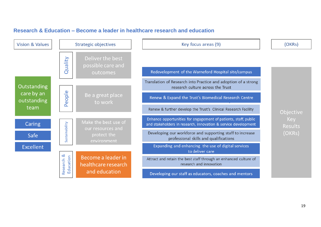

### **Research & Education – Become a leader in healthcare research and education**